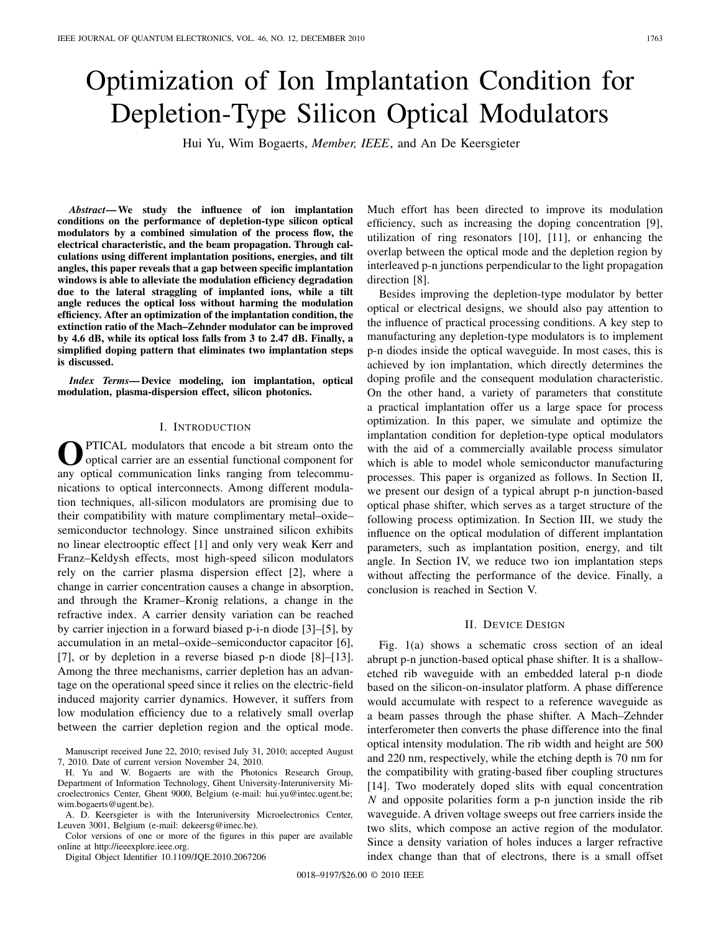# Optimization of Ion Implantation Condition for Depletion-Type Silicon Optical Modulators

Hui Yu, Wim Bogaerts, *Member, IEEE*, and An De Keersgieter

*Abstract***— We study the influence of ion implantation conditions on the performance of depletion-type silicon optical modulators by a combined simulation of the process flow, the electrical characteristic, and the beam propagation. Through calculations using different implantation positions, energies, and tilt angles, this paper reveals that a gap between specific implantation windows is able to alleviate the modulation efficiency degradation due to the lateral straggling of implanted ions, while a tilt angle reduces the optical loss without harming the modulation efficiency. After an optimization of the implantation condition, the extinction ratio of the Mach–Zehnder modulator can be improved by 4.6 dB, while its optical loss falls from 3 to 2.47 dB. Finally, a simplified doping pattern that eliminates two implantation steps is discussed.**

*Index Terms***— Device modeling, ion implantation, optical modulation, plasma-dispersion effect, silicon photonics.**

### I. INTRODUCTION

**O**PTICAL modulators that encode a bit stream onto the optical carrier are an essential functional component for any optical communication links ranging from telecommunications to optical interconnects. Among different modulation techniques, all-silicon modulators are promising due to their compatibility with mature complimentary metal–oxide– semiconductor technology. Since unstrained silicon exhibits no linear electrooptic effect [1] and only very weak Kerr and Franz–Keldysh effects, most high-speed silicon modulators rely on the carrier plasma dispersion effect [2], where a change in carrier concentration causes a change in absorption, and through the Kramer–Kronig relations, a change in the refractive index. A carrier density variation can be reached by carrier injection in a forward biased p-i-n diode [3]–[5], by accumulation in an metal–oxide–semiconductor capacitor [6], [7], or by depletion in a reverse biased p-n diode [8]–[13]. Among the three mechanisms, carrier depletion has an advantage on the operational speed since it relies on the electric-field induced majority carrier dynamics. However, it suffers from low modulation efficiency due to a relatively small overlap between the carrier depletion region and the optical mode.

Color versions of one or more of the figures in this paper are available online at http://ieeexplore.ieee.org.

Digital Object Identifier 10.1109/JQE.2010.2067206

Much effort has been directed to improve its modulation efficiency, such as increasing the doping concentration [9], utilization of ring resonators [10], [11], or enhancing the overlap between the optical mode and the depletion region by interleaved p-n junctions perpendicular to the light propagation direction [8].

Besides improving the depletion-type modulator by better optical or electrical designs, we should also pay attention to the influence of practical processing conditions. A key step to manufacturing any depletion-type modulators is to implement p-n diodes inside the optical waveguide. In most cases, this is achieved by ion implantation, which directly determines the doping profile and the consequent modulation characteristic. On the other hand, a variety of parameters that constitute a practical implantation offer us a large space for process optimization. In this paper, we simulate and optimize the implantation condition for depletion-type optical modulators with the aid of a commercially available process simulator which is able to model whole semiconductor manufacturing processes. This paper is organized as follows. In Section II, we present our design of a typical abrupt p-n junction-based optical phase shifter, which serves as a target structure of the following process optimization. In Section III, we study the influence on the optical modulation of different implantation parameters, such as implantation position, energy, and tilt angle. In Section IV, we reduce two ion implantation steps without affecting the performance of the device. Finally, a conclusion is reached in Section V.

## II. DEVICE DESIGN

Fig. 1(a) shows a schematic cross section of an ideal abrupt p-n junction-based optical phase shifter. It is a shallowetched rib waveguide with an embedded lateral p-n diode based on the silicon-on-insulator platform. A phase difference would accumulate with respect to a reference waveguide as a beam passes through the phase shifter. A Mach–Zehnder interferometer then converts the phase difference into the final optical intensity modulation. The rib width and height are 500 and 220 nm, respectively, while the etching depth is 70 nm for the compatibility with grating-based fiber coupling structures [14]. Two moderately doped slits with equal concentration *N* and opposite polarities form a p-n junction inside the rib waveguide. A driven voltage sweeps out free carriers inside the two slits, which compose an active region of the modulator. Since a density variation of holes induces a larger refractive index change than that of electrons, there is a small offset

Manuscript received June 22, 2010; revised July 31, 2010; accepted August 7, 2010. Date of current version November 24, 2010.

H. Yu and W. Bogaerts are with the Photonics Research Group, Department of Information Technology, Ghent University-Interuniversity Microelectronics Center, Ghent 9000, Belgium (e-mail: hui.yu@intec.ugent.be; wim.bogaerts@ugent.be).

A. D. Keersgieter is with the Interuniversity Microelectronics Center, Leuven 3001, Belgium (e-mail: dekeersg@imec.be).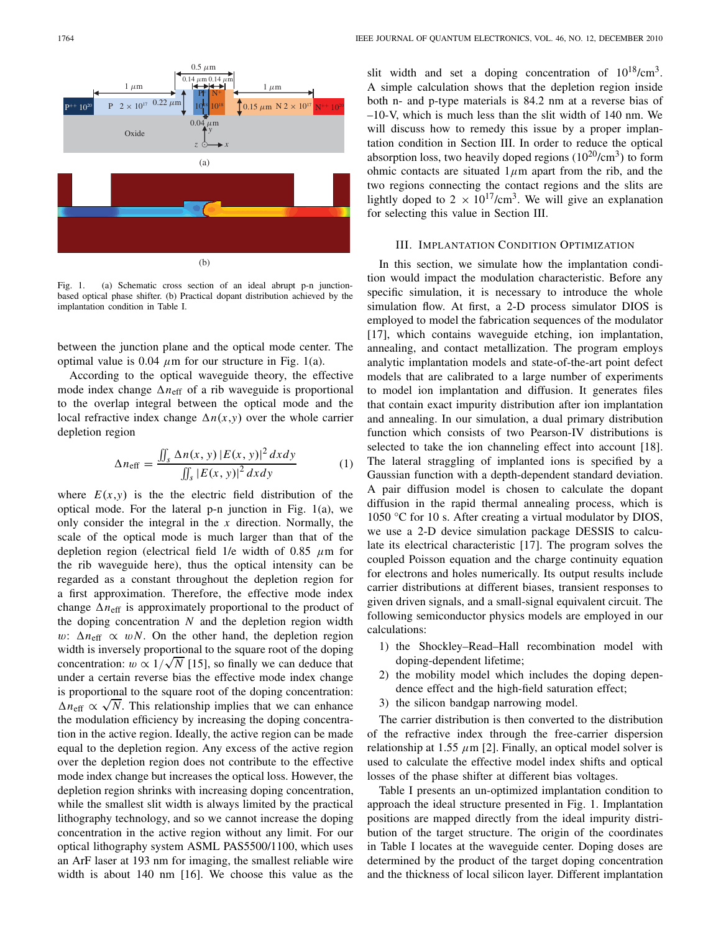

Fig. 1. (a) Schematic cross section of an ideal abrupt p-n junctionbased optical phase shifter. (b) Practical dopant distribution achieved by the implantation condition in Table I.

between the junction plane and the optical mode center. The optimal value is 0.04  $\mu$ m for our structure in Fig. 1(a).

According to the optical waveguide theory, the effective mode index change  $\Delta n_{\text{eff}}$  of a rib waveguide is proportional to the overlap integral between the optical mode and the local refractive index change  $\Delta n(x,y)$  over the whole carrier depletion region

$$
\Delta n_{\text{eff}} = \frac{\iint_{S} \Delta n(x, y) |E(x, y)|^2 dx dy}{\iint_{S} |E(x, y)|^2 dx dy}
$$
(1)

where  $E(x, y)$  is the the electric field distribution of the optical mode. For the lateral p-n junction in Fig. 1(a), we only consider the integral in the *x* direction. Normally, the scale of the optical mode is much larger than that of the depletion region (electrical field 1/e width of 0.85  $\mu$ m for the rib waveguide here), thus the optical intensity can be regarded as a constant throughout the depletion region for a first approximation. Therefore, the effective mode index change  $\Delta n_{\text{eff}}$  is approximately proportional to the product of the doping concentration *N* and the depletion region width w:  $\Delta n_{\text{eff}} \propto wN$ . On the other hand, the depletion region width is inversely proportional to the square root of the doping concentration:  $w \propto 1/\sqrt{N}$  [15], so finally we can deduce that under a certain reverse bias the effective mode index change is proportional to the square root of the doping concentration:  $\Delta n_{\text{eff}} \propto \sqrt{N}$ . This relationship implies that we can enhance the modulation efficiency by increasing the doping concentration in the active region. Ideally, the active region can be made equal to the depletion region. Any excess of the active region over the depletion region does not contribute to the effective mode index change but increases the optical loss. However, the depletion region shrinks with increasing doping concentration, while the smallest slit width is always limited by the practical lithography technology, and so we cannot increase the doping concentration in the active region without any limit. For our optical lithography system ASML PAS5500/1100, which uses an ArF laser at 193 nm for imaging, the smallest reliable wire width is about 140 nm [16]. We choose this value as the

slit width and set a doping concentration of  $10^{18}/\text{cm}^3$ . A simple calculation shows that the depletion region inside both n- and p-type materials is 84.2 nm at a reverse bias of –10-V, which is much less than the slit width of 140 nm. We will discuss how to remedy this issue by a proper implantation condition in Section III. In order to reduce the optical absorption loss, two heavily doped regions  $(10^{20}/\text{cm}^3)$  to form ohmic contacts are situated  $1 \mu m$  apart from the rib, and the two regions connecting the contact regions and the slits are lightly doped to  $2 \times 10^{17}$ /cm<sup>3</sup>. We will give an explanation for selecting this value in Section III.

## III. IMPLANTATION CONDITION OPTIMIZATION

In this section, we simulate how the implantation condition would impact the modulation characteristic. Before any specific simulation, it is necessary to introduce the whole simulation flow. At first, a 2-D process simulator DIOS is employed to model the fabrication sequences of the modulator [17], which contains waveguide etching, ion implantation, annealing, and contact metallization. The program employs analytic implantation models and state-of-the-art point defect models that are calibrated to a large number of experiments to model ion implantation and diffusion. It generates files that contain exact impurity distribution after ion implantation and annealing. In our simulation, a dual primary distribution function which consists of two Pearson-IV distributions is selected to take the ion channeling effect into account [18]. The lateral straggling of implanted ions is specified by a Gaussian function with a depth-dependent standard deviation. A pair diffusion model is chosen to calculate the dopant diffusion in the rapid thermal annealing process, which is 1050 °C for 10 s. After creating a virtual modulator by DIOS, we use a 2-D device simulation package DESSIS to calculate its electrical characteristic [17]. The program solves the coupled Poisson equation and the charge continuity equation for electrons and holes numerically. Its output results include carrier distributions at different biases, transient responses to given driven signals, and a small-signal equivalent circuit. The following semiconductor physics models are employed in our calculations:

- 1) the Shockley–Read–Hall recombination model with doping-dependent lifetime;
- 2) the mobility model which includes the doping dependence effect and the high-field saturation effect;
- 3) the silicon bandgap narrowing model.

The carrier distribution is then converted to the distribution of the refractive index through the free-carrier dispersion relationship at 1.55  $\mu$ m [2]. Finally, an optical model solver is used to calculate the effective model index shifts and optical losses of the phase shifter at different bias voltages.

Table I presents an un-optimized implantation condition to approach the ideal structure presented in Fig. 1. Implantation positions are mapped directly from the ideal impurity distribution of the target structure. The origin of the coordinates in Table I locates at the waveguide center. Doping doses are determined by the product of the target doping concentration and the thickness of local silicon layer. Different implantation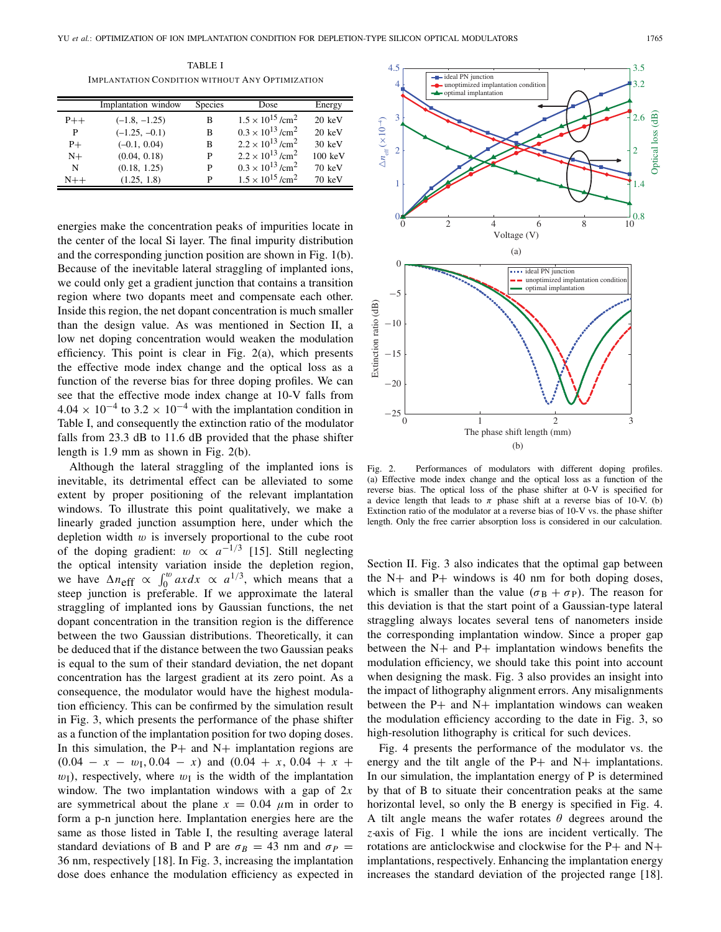TABLE I IMPLANTATION CONDITION WITHOUT ANY OPTIMIZATION

|          | Implantation window | <b>Species</b> | Dose                                  | Energy            |
|----------|---------------------|----------------|---------------------------------------|-------------------|
| $P_{++}$ | $(-1.8, -1.25)$     | в              | $1.5 \times 10^{15}$ /cm <sup>2</sup> | $20 \text{ keV}$  |
| P        | $(-1.25, -0.1)$     | B              | $0.3 \times 10^{13}$ /cm <sup>2</sup> | $20 \text{ keV}$  |
| $P+$     | $(-0.1, 0.04)$      | в              | $2.2 \times 10^{13}$ /cm <sup>2</sup> | $30 \text{ keV}$  |
| $N+$     | (0.04, 0.18)        | P              | $2.2 \times 10^{13}$ /cm <sup>2</sup> | $100 \text{ keV}$ |
| N        | (0.18, 1.25)        | P              | $0.3 \times 10^{13}$ /cm <sup>2</sup> | $70 \text{ keV}$  |
| $N++$    | (1.25, 1.8)         | P              | $1.5 \times 10^{15}$ /cm <sup>2</sup> | $70 \text{ keV}$  |

energies make the concentration peaks of impurities locate in the center of the local Si layer. The final impurity distribution and the corresponding junction position are shown in Fig. 1(b). Because of the inevitable lateral straggling of implanted ions, we could only get a gradient junction that contains a transition region where two dopants meet and compensate each other. Inside this region, the net dopant concentration is much smaller than the design value. As was mentioned in Section II, a low net doping concentration would weaken the modulation efficiency. This point is clear in Fig. 2(a), which presents the effective mode index change and the optical loss as a function of the reverse bias for three doping profiles. We can see that the effective mode index change at 10-V falls from  $4.04 \times 10^{-4}$  to 3.2 × 10<sup>-4</sup> with the implantation condition in Table I, and consequently the extinction ratio of the modulator falls from 23.3 dB to 11.6 dB provided that the phase shifter length is 1.9 mm as shown in Fig. 2(b).

Although the lateral straggling of the implanted ions is inevitable, its detrimental effect can be alleviated to some extent by proper positioning of the relevant implantation windows. To illustrate this point qualitatively, we make a linearly graded junction assumption here, under which the depletion width  $w$  is inversely proportional to the cube root of the doping gradient:  $w \propto a^{-1/3}$  [15]. Still neglecting the optical intensity variation inside the depletion region, we have  $\Delta n_{\text{eff}} \propto \int_0^w a x dx \propto a^{1/3}$ , which means that a steep junction is preferable. If we approximate the lateral straggling of implanted ions by Gaussian functions, the net dopant concentration in the transition region is the difference between the two Gaussian distributions. Theoretically, it can be deduced that if the distance between the two Gaussian peaks is equal to the sum of their standard deviation, the net dopant concentration has the largest gradient at its zero point. As a consequence, the modulator would have the highest modulation efficiency. This can be confirmed by the simulation result in Fig. 3, which presents the performance of the phase shifter as a function of the implantation position for two doping doses. In this simulation, the  $P+$  and  $N+$  implantation regions are  $(0.04 - x - w_{I}, 0.04 - x)$  and  $(0.04 + x, 0.04 + x +$  $w_1$ ), respectively, where  $w_1$  is the width of the implantation window. The two implantation windows with a gap of 2*x* are symmetrical about the plane  $x = 0.04 \mu m$  in order to form a p-n junction here. Implantation energies here are the same as those listed in Table I, the resulting average lateral standard deviations of B and P are  $\sigma_B = 43$  nm and  $\sigma_P =$ 36 nm, respectively [18]. In Fig. 3, increasing the implantation dose does enhance the modulation efficiency as expected in



Fig. 2. Performances of modulators with different doping profiles. (a) Effective mode index change and the optical loss as a function of the reverse bias. The optical loss of the phase shifter at 0-V is specified for a device length that leads to  $\pi$  phase shift at a reverse bias of 10-V. (b) Extinction ratio of the modulator at a reverse bias of 10-V vs. the phase shifter length. Only the free carrier absorption loss is considered in our calculation.

Section II. Fig. 3 also indicates that the optimal gap between the  $N+$  and  $P+$  windows is 40 nm for both doping doses, which is smaller than the value  $(\sigma_B + \sigma_P)$ . The reason for this deviation is that the start point of a Gaussian-type lateral straggling always locates several tens of nanometers inside the corresponding implantation window. Since a proper gap between the  $N+$  and  $P+$  implantation windows benefits the modulation efficiency, we should take this point into account when designing the mask. Fig. 3 also provides an insight into the impact of lithography alignment errors. Any misalignments between the P+ and N+ implantation windows can weaken the modulation efficiency according to the date in Fig. 3, so high-resolution lithography is critical for such devices.

Fig. 4 presents the performance of the modulator vs. the energy and the tilt angle of the  $P+$  and  $N+$  implantations. In our simulation, the implantation energy of P is determined by that of B to situate their concentration peaks at the same horizontal level, so only the B energy is specified in Fig. 4. A tilt angle means the wafer rotates  $\theta$  degrees around the *z*-axis of Fig. 1 while the ions are incident vertically. The rotations are anticlockwise and clockwise for the P+ and N+ implantations, respectively. Enhancing the implantation energy increases the standard deviation of the projected range [18].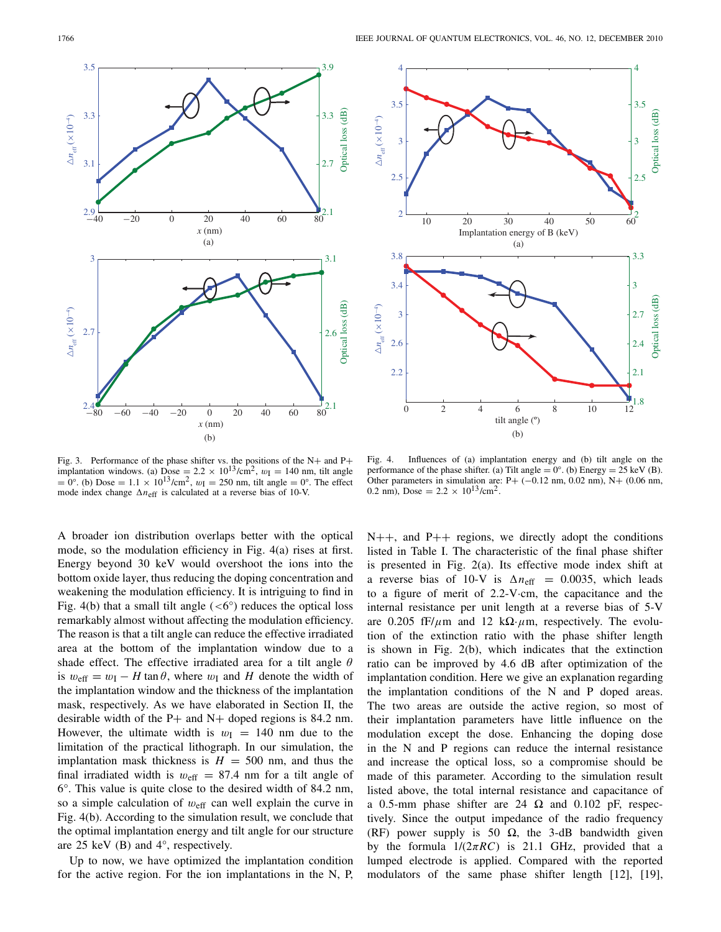



Fig. 3. Performance of the phase shifter vs. the positions of the N+ and P+<br>implantation windows. (a)  $D_{12}^{0.06} = 2.2 \times 10^{13}$ /cm<sup>2</sup>,  $w_I = 140$  nm, tilt angle  $= 0^{\circ}$ . (b) Dose  $= 1.1 \times 10^{13} / \text{cm}^2$ ,  $w_{\text{I}} = 250$  nm, tilt angle  $= 0^{\circ}$ . The effect mode index change  $\Delta n_{\text{eff}}$  is calculated at a reverse bias of 10-V.

A broader ion distribution overlaps better with the optical mode, so the modulation efficiency in Fig. 4(a) rises at first. Energy beyond 30 keV would overshoot the ions into the bottom oxide layer, thus reducing the doping concentration and weakening the modulation efficiency. It is intriguing to find in Fig. 4(b) that a small tilt angle  $( $6^{\circ}$ )$  reduces the optical loss remarkably almost without affecting the modulation efficiency. The reason is that a tilt angle can reduce the effective irradiated area at the bottom of the implantation window due to a shade effect. The effective irradiated area for a tilt angle  $\theta$ is  $w_{\text{eff}} = w_I - H \tan \theta$ , where  $w_I$  and *H* denote the width of the implantation window and the thickness of the implantation mask, respectively. As we have elaborated in Section II, the desirable width of the P+ and N+ doped regions is 84.2 nm. However, the ultimate width is  $w_{\text{I}} = 140$  nm due to the limitation of the practical lithograph. In our simulation, the implantation mask thickness is  $H = 500$  nm, and thus the final irradiated width is  $w_{\text{eff}} = 87.4$  nm for a tilt angle of 6°. This value is quite close to the desired width of 84.2 nm, so a simple calculation of  $w_{\text{eff}}$  can well explain the curve in Fig. 4(b). According to the simulation result, we conclude that the optimal implantation energy and tilt angle for our structure are 25 keV (B) and 4°, respectively.

Up to now, we have optimized the implantation condition for the active region. For the ion implantations in the N, P,

Fig. 4. Influences of (a) implantation energy and (b) tilt angle on the performance of the phase shifter. (a) Tilt angle =  $0^{\circ}$ . (b) Energy = 25 keV (B). Other parameters in simulation are: P+ (−0.12 nm, 0.02 nm), N+ (0.06 nm, 0.2 nm), Dose =  $2.2 \times 10^{13}$ /cm<sup>2</sup>.

 $N++$ , and  $P++$  regions, we directly adopt the conditions listed in Table I. The characteristic of the final phase shifter is presented in Fig. 2(a). Its effective mode index shift at a reverse bias of 10-V is  $\Delta n_{\text{eff}}$  = 0.0035, which leads to a figure of merit of 2.2-V·cm, the capacitance and the internal resistance per unit length at a reverse bias of 5-V are 0.205 fF/ $\mu$ m and 12 k $\Omega \cdot \mu$ m, respectively. The evolution of the extinction ratio with the phase shifter length is shown in Fig. 2(b), which indicates that the extinction ratio can be improved by 4.6 dB after optimization of the implantation condition. Here we give an explanation regarding the implantation conditions of the N and P doped areas. The two areas are outside the active region, so most of their implantation parameters have little influence on the modulation except the dose. Enhancing the doping dose in the N and P regions can reduce the internal resistance and increase the optical loss, so a compromise should be made of this parameter. According to the simulation result listed above, the total internal resistance and capacitance of a 0.5-mm phase shifter are 24  $\Omega$  and 0.102 pF, respectively. Since the output impedance of the radio frequency (RF) power supply is 50  $\Omega$ , the 3-dB bandwidth given by the formula  $1/(2\pi RC)$  is 21.1 GHz, provided that a lumped electrode is applied. Compared with the reported modulators of the same phase shifter length [12], [19],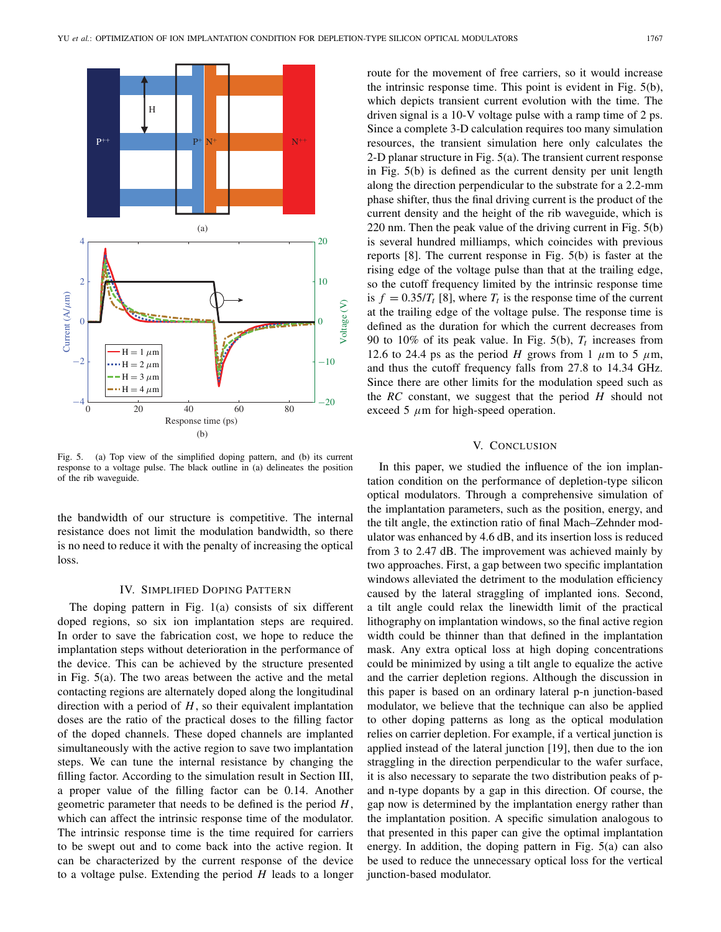

Fig. 5. (a) Top view of the simplified doping pattern, and (b) its current response to a voltage pulse. The black outline in (a) delineates the position of the rib waveguide.

the bandwidth of our structure is competitive. The internal resistance does not limit the modulation bandwidth, so there is no need to reduce it with the penalty of increasing the optical loss.

#### IV. SIMPLIFIED DOPING PATTERN

The doping pattern in Fig. 1(a) consists of six different doped regions, so six ion implantation steps are required. In order to save the fabrication cost, we hope to reduce the implantation steps without deterioration in the performance of the device. This can be achieved by the structure presented in Fig. 5(a). The two areas between the active and the metal contacting regions are alternately doped along the longitudinal direction with a period of *H*, so their equivalent implantation doses are the ratio of the practical doses to the filling factor of the doped channels. These doped channels are implanted simultaneously with the active region to save two implantation steps. We can tune the internal resistance by changing the filling factor. According to the simulation result in Section III, a proper value of the filling factor can be 0.14. Another geometric parameter that needs to be defined is the period *H*, which can affect the intrinsic response time of the modulator. The intrinsic response time is the time required for carriers to be swept out and to come back into the active region. It can be characterized by the current response of the device to a voltage pulse. Extending the period *H* leads to a longer

route for the movement of free carriers, so it would increase the intrinsic response time. This point is evident in Fig. 5(b), which depicts transient current evolution with the time. The driven signal is a 10-V voltage pulse with a ramp time of 2 ps. Since a complete 3-D calculation requires too many simulation resources, the transient simulation here only calculates the 2-D planar structure in Fig. 5(a). The transient current response in Fig. 5(b) is defined as the current density per unit length along the direction perpendicular to the substrate for a 2.2-mm phase shifter, thus the final driving current is the product of the current density and the height of the rib waveguide, which is 220 nm. Then the peak value of the driving current in Fig. 5(b) is several hundred milliamps, which coincides with previous reports [8]. The current response in Fig. 5(b) is faster at the rising edge of the voltage pulse than that at the trailing edge, so the cutoff frequency limited by the intrinsic response time is  $f = 0.35/T_t$  [8], where  $T_t$  is the response time of the current at the trailing edge of the voltage pulse. The response time is defined as the duration for which the current decreases from 90 to 10% of its peak value. In Fig.  $5(b)$ ,  $T_t$  increases from 12.6 to 24.4 ps as the period *H* grows from 1  $\mu$ m to 5  $\mu$ m, and thus the cutoff frequency falls from 27.8 to 14.34 GHz. Since there are other limits for the modulation speed such as the *RC* constant, we suggest that the period *H* should not exceed 5  $\mu$ m for high-speed operation.

## V. CONCLUSION

In this paper, we studied the influence of the ion implantation condition on the performance of depletion-type silicon optical modulators. Through a comprehensive simulation of the implantation parameters, such as the position, energy, and the tilt angle, the extinction ratio of final Mach–Zehnder modulator was enhanced by 4.6 dB, and its insertion loss is reduced from 3 to 2.47 dB. The improvement was achieved mainly by two approaches. First, a gap between two specific implantation windows alleviated the detriment to the modulation efficiency caused by the lateral straggling of implanted ions. Second, a tilt angle could relax the linewidth limit of the practical lithography on implantation windows, so the final active region width could be thinner than that defined in the implantation mask. Any extra optical loss at high doping concentrations could be minimized by using a tilt angle to equalize the active and the carrier depletion regions. Although the discussion in this paper is based on an ordinary lateral p-n junction-based modulator, we believe that the technique can also be applied to other doping patterns as long as the optical modulation relies on carrier depletion. For example, if a vertical junction is applied instead of the lateral junction [19], then due to the ion straggling in the direction perpendicular to the wafer surface, it is also necessary to separate the two distribution peaks of pand n-type dopants by a gap in this direction. Of course, the gap now is determined by the implantation energy rather than the implantation position. A specific simulation analogous to that presented in this paper can give the optimal implantation energy. In addition, the doping pattern in Fig. 5(a) can also be used to reduce the unnecessary optical loss for the vertical junction-based modulator.